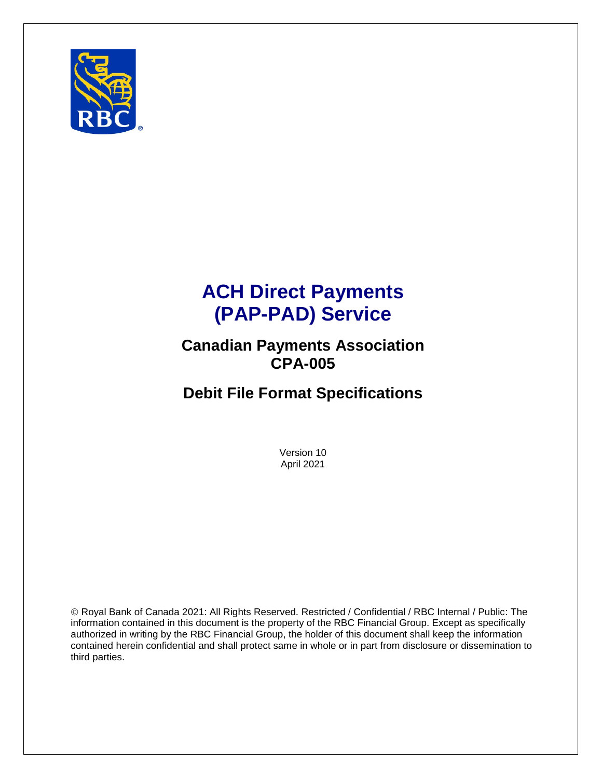

# **ACH Direct Payments (PAP-PAD) Service**

## **Canadian Payments Association CPA-005**

# **Debit File Format Specifications**

Version 10 April 2021

© Royal Bank of Canada 2021: All Rights Reserved. Restricted / Confidential / RBC Internal / Public: The information contained in this document is the property of the RBC Financial Group. Except as specifically authorized in writing by the RBC Financial Group, the holder of this document shall keep the information contained herein confidential and shall protect same in whole or in part from disclosure or dissemination to third parties.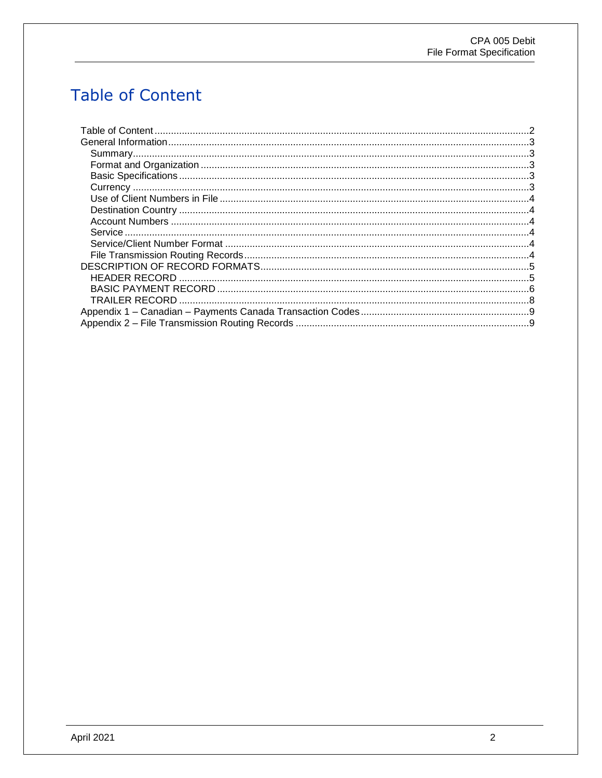# <span id="page-1-0"></span>**Table of Content**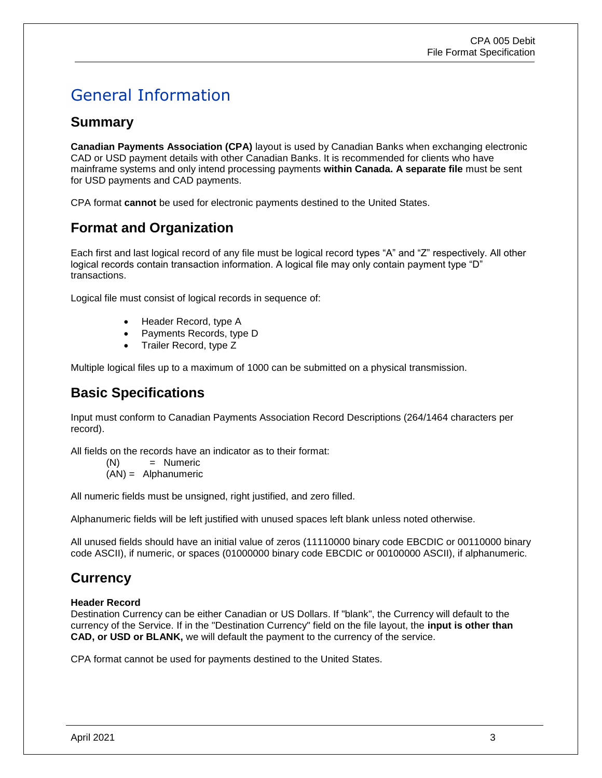# <span id="page-2-0"></span>General Information

### <span id="page-2-1"></span>**Summary**

**Canadian Payments Association (CPA)** layout is used by Canadian Banks when exchanging electronic CAD or USD payment details with other Canadian Banks. It is recommended for clients who have mainframe systems and only intend processing payments **within Canada. A separate file** must be sent for USD payments and CAD payments.

CPA format **cannot** be used for electronic payments destined to the United States.

### <span id="page-2-2"></span>**Format and Organization**

Each first and last logical record of any file must be logical record types "A" and "Z" respectively. All other logical records contain transaction information. A logical file may only contain payment type "D" transactions.

Logical file must consist of logical records in sequence of:

- Header Record, type A
- Payments Records, type D
- Trailer Record, type Z

Multiple logical files up to a maximum of 1000 can be submitted on a physical transmission.

## <span id="page-2-3"></span>**Basic Specifications**

Input must conform to Canadian Payments Association Record Descriptions (264/1464 characters per record).

All fields on the records have an indicator as to their format:

(N) = Numeric

(AN) = Alphanumeric

All numeric fields must be unsigned, right justified, and zero filled.

Alphanumeric fields will be left justified with unused spaces left blank unless noted otherwise.

All unused fields should have an initial value of zeros (11110000 binary code EBCDIC or 00110000 binary code ASCII), if numeric, or spaces (01000000 binary code EBCDIC or 00100000 ASCII), if alphanumeric.

### <span id="page-2-4"></span>**Currency**

#### **Header Record**

Destination Currency can be either Canadian or US Dollars. If "blank", the Currency will default to the currency of the Service. If in the "Destination Currency" field on the file layout, the **input is other than CAD, or USD or BLANK,** we will default the payment to the currency of the service.

CPA format cannot be used for payments destined to the United States.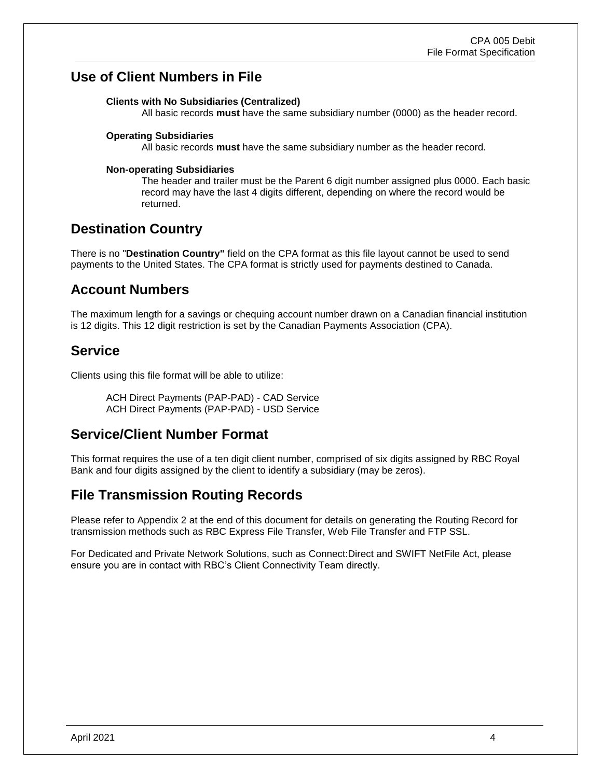### <span id="page-3-0"></span>**Use of Client Numbers in File**

#### **Clients with No Subsidiaries (Centralized)**

All basic records **must** have the same subsidiary number (0000) as the header record.

#### **Operating Subsidiaries**

All basic records **must** have the same subsidiary number as the header record.

#### **Non-operating Subsidiaries**

The header and trailer must be the Parent 6 digit number assigned plus 0000. Each basic record may have the last 4 digits different, depending on where the record would be returned.

### <span id="page-3-1"></span>**Destination Country**

There is no "**Destination Country"** field on the CPA format as this file layout cannot be used to send payments to the United States. The CPA format is strictly used for payments destined to Canada.

#### <span id="page-3-2"></span>**Account Numbers**

The maximum length for a savings or chequing account number drawn on a Canadian financial institution is 12 digits. This 12 digit restriction is set by the Canadian Payments Association (CPA).

#### <span id="page-3-3"></span>**Service**

Clients using this file format will be able to utilize:

ACH Direct Payments (PAP-PAD) - CAD Service ACH Direct Payments (PAP-PAD) - USD Service

### <span id="page-3-4"></span>**Service/Client Number Format**

This format requires the use of a ten digit client number, comprised of six digits assigned by RBC Royal Bank and four digits assigned by the client to identify a subsidiary (may be zeros).

### <span id="page-3-5"></span>**File Transmission Routing Records**

Please refer to Appendix 2 at the end of this document for details on generating the Routing Record for transmission methods such as RBC Express File Transfer, Web File Transfer and FTP SSL.

For Dedicated and Private Network Solutions, such as Connect:Direct and SWIFT NetFile Act, please ensure you are in contact with RBC's Client Connectivity Team directly.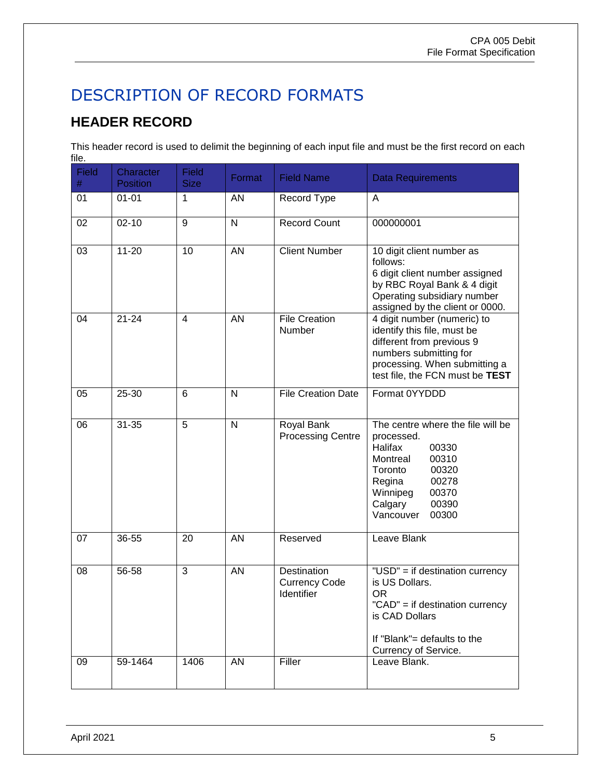# <span id="page-4-0"></span>DESCRIPTION OF RECORD FORMATS

## <span id="page-4-1"></span>**HEADER RECORD**

This header record is used to delimit the beginning of each input file and must be the first record on each file.

| <b>Field</b><br>$\#$ | Character<br><b>Position</b> | <b>Field</b><br><b>Size</b> | Format       | <b>Field Name</b>                                 | <b>Data Requirements</b>                                                                                                                                                                       |
|----------------------|------------------------------|-----------------------------|--------------|---------------------------------------------------|------------------------------------------------------------------------------------------------------------------------------------------------------------------------------------------------|
| 01                   | $01 - 01$                    | 1                           | AN           | Record Type                                       | A                                                                                                                                                                                              |
| 02                   | $02 - 10$                    | 9                           | $\mathsf{N}$ | <b>Record Count</b>                               | 000000001                                                                                                                                                                                      |
| 03                   | $11 - 20$                    | 10                          | <b>AN</b>    | <b>Client Number</b>                              | 10 digit client number as<br>follows:<br>6 digit client number assigned<br>by RBC Royal Bank & 4 digit<br>Operating subsidiary number<br>assigned by the client or 0000.                       |
| 04                   | $21 - 24$                    | $\overline{4}$              | <b>AN</b>    | <b>File Creation</b><br>Number                    | 4 digit number (numeric) to<br>identify this file, must be<br>different from previous 9<br>numbers submitting for<br>processing. When submitting a<br>test file, the FCN must be TEST          |
| 05                   | 25-30                        | 6                           | $\mathsf{N}$ | <b>File Creation Date</b>                         | Format 0YYDDD                                                                                                                                                                                  |
| 06                   | $31 - 35$                    | 5                           | $\mathsf{N}$ | <b>Royal Bank</b><br><b>Processing Centre</b>     | The centre where the file will be<br>processed.<br>Halifax<br>00330<br>00310<br>Montreal<br>Toronto<br>00320<br>Regina<br>00278<br>Winnipeg<br>00370<br>Calgary<br>00390<br>Vancouver<br>00300 |
| 07                   | 36-55                        | 20                          | <b>AN</b>    | Reserved                                          | Leave Blank                                                                                                                                                                                    |
| 08                   | 56-58                        | 3                           | AN           | Destination<br><b>Currency Code</b><br>Identifier | "USD" = if destination currency<br>is US Dollars.<br>OR.<br>"CAD" = if destination currency<br>is CAD Dollars<br>If "Blank"= defaults to the<br>Currency of Service.                           |
| 09                   | 59-1464                      | 1406                        | AN           | Filler                                            | Leave Blank.                                                                                                                                                                                   |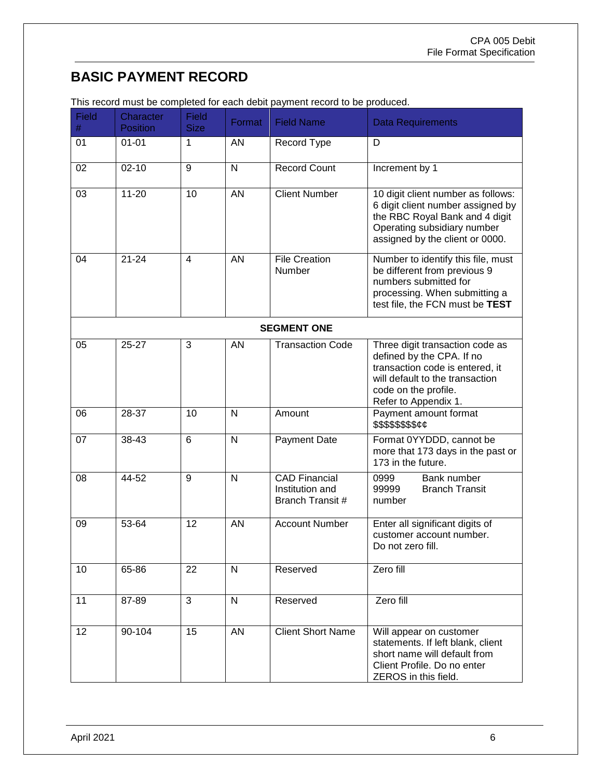## <span id="page-5-0"></span>**BASIC PAYMENT RECORD**

| <b>Field</b><br># | Character<br><b>Position</b> | <b>Field</b><br><b>Size</b> | Format       | <b>Field Name</b>                                           | <b>Data Requirements</b>                                                                                                                                                           |
|-------------------|------------------------------|-----------------------------|--------------|-------------------------------------------------------------|------------------------------------------------------------------------------------------------------------------------------------------------------------------------------------|
| 01                | $01 - 01$                    | 1                           | <b>AN</b>    | Record Type                                                 | D                                                                                                                                                                                  |
| 02                | $02 - 10$                    | 9                           | $\mathsf{N}$ | <b>Record Count</b>                                         | Increment by 1                                                                                                                                                                     |
| 03                | $11 - 20$                    | 10                          | AN           | <b>Client Number</b>                                        | 10 digit client number as follows:<br>6 digit client number assigned by<br>the RBC Royal Bank and 4 digit<br>Operating subsidiary number<br>assigned by the client or 0000.        |
| 04                | $21 - 24$                    | $\overline{4}$              | AN           | <b>File Creation</b><br>Number                              | Number to identify this file, must<br>be different from previous 9<br>numbers submitted for<br>processing. When submitting a<br>test file, the FCN must be TEST                    |
|                   |                              |                             |              | <b>SEGMENT ONE</b>                                          |                                                                                                                                                                                    |
| 05                | $25 - 27$                    | 3                           | AN           | <b>Transaction Code</b>                                     | Three digit transaction code as<br>defined by the CPA. If no<br>transaction code is entered, it<br>will default to the transaction<br>code on the profile.<br>Refer to Appendix 1. |
| 06                | 28-37                        | 10                          | N            | Amount                                                      | Payment amount format<br>\$\$\$\$\$\$\$\$ <i>¢¢</i>                                                                                                                                |
| 07                | 38-43                        | $6\phantom{1}$              | $\mathsf{N}$ | <b>Payment Date</b>                                         | Format 0YYDDD, cannot be<br>more that 173 days in the past or<br>173 in the future.                                                                                                |
| 08                | 44-52                        | 9                           | $\mathsf{N}$ | <b>CAD Financial</b><br>Institution and<br>Branch Transit # | 0999<br>Bank number<br>99999<br><b>Branch Transit</b><br>number                                                                                                                    |
| 09                | 53-64                        | 12                          | AN           | <b>Account Number</b>                                       | Enter all significant digits of<br>customer account number.<br>Do not zero fill.                                                                                                   |
| 10                | 65-86                        | 22                          | $\mathsf{N}$ | Reserved                                                    | Zero fill                                                                                                                                                                          |
| 11                | 87-89                        | 3                           | $\mathsf{N}$ | Reserved                                                    | Zero fill                                                                                                                                                                          |
| 12                | 90-104                       | 15                          | <b>AN</b>    | <b>Client Short Name</b>                                    | Will appear on customer<br>statements. If left blank, client<br>short name will default from<br>Client Profile. Do no enter<br>ZEROS in this field.                                |

This record must be completed for each debit payment record to be produced.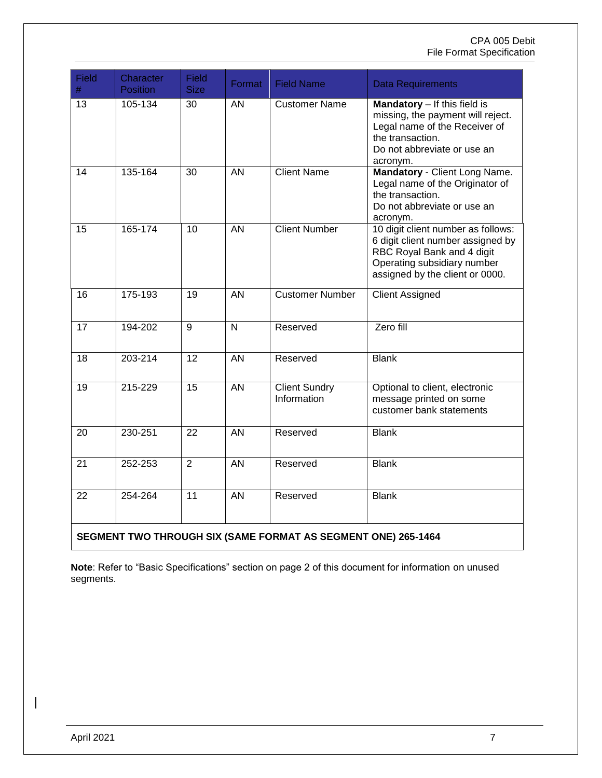#### CPA 005 Debit File Format Specification

| Field<br>$\#$                                                 | Character<br><b>Position</b> | <b>Field</b><br><b>Size</b> | Format          | <b>Field Name</b>                   | <b>Data Requirements</b>                                                                                                                                                |  |
|---------------------------------------------------------------|------------------------------|-----------------------------|-----------------|-------------------------------------|-------------------------------------------------------------------------------------------------------------------------------------------------------------------------|--|
| 13                                                            | 105-134                      | 30                          | AN              | <b>Customer Name</b>                | Mandatory - If this field is<br>missing, the payment will reject.<br>Legal name of the Receiver of<br>the transaction.<br>Do not abbreviate or use an<br>acronym.       |  |
| 14                                                            | 135-164                      | 30                          | $\overline{AN}$ | <b>Client Name</b>                  | Mandatory - Client Long Name.<br>Legal name of the Originator of<br>the transaction.<br>Do not abbreviate or use an<br>acronym.                                         |  |
| 15                                                            | 165-174                      | 10                          | $\overline{AN}$ | <b>Client Number</b>                | 10 digit client number as follows:<br>6 digit client number assigned by<br>RBC Royal Bank and 4 digit<br>Operating subsidiary number<br>assigned by the client or 0000. |  |
| 16                                                            | 175-193                      | 19                          | $\overline{AN}$ | <b>Customer Number</b>              | <b>Client Assigned</b>                                                                                                                                                  |  |
| 17                                                            | 194-202                      | 9                           | N               | Reserved                            | Zero fill                                                                                                                                                               |  |
| 18                                                            | 203-214                      | 12                          | <b>AN</b>       | Reserved                            | <b>Blank</b>                                                                                                                                                            |  |
| 19                                                            | 215-229                      | 15                          | $\overline{AN}$ | <b>Client Sundry</b><br>Information | Optional to client, electronic<br>message printed on some<br>customer bank statements                                                                                   |  |
| 20                                                            | 230-251                      | 22                          | $\overline{AN}$ | Reserved                            | <b>Blank</b>                                                                                                                                                            |  |
| 21                                                            | 252-253                      | $\overline{2}$              | $\overline{AN}$ | Reserved                            | <b>Blank</b>                                                                                                                                                            |  |
| 22                                                            | 254-264                      | 11                          | $\overline{AN}$ | Reserved                            | <b>Blank</b>                                                                                                                                                            |  |
| SEGMENT TWO THROUGH SIX (SAME FORMAT AS SEGMENT ONE) 265-1464 |                              |                             |                 |                                     |                                                                                                                                                                         |  |

**Note**: Refer to "Basic Specifications" section on page 2 of this document for information on unused segments.

 $\overline{\phantom{a}}$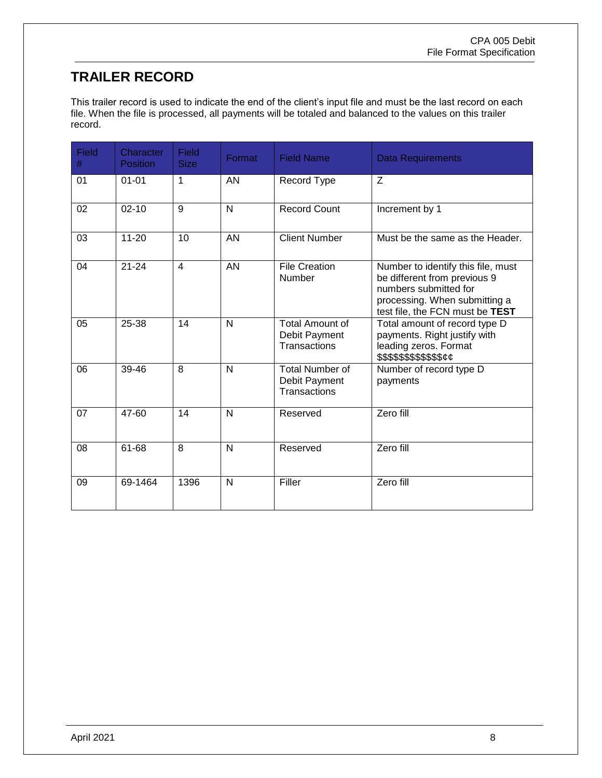## <span id="page-7-0"></span>**TRAILER RECORD**

This trailer record is used to indicate the end of the client's input file and must be the last record on each file. When the file is processed, all payments will be totaled and balanced to the values on this trailer record.

| Field<br># | Character<br><b>Position</b> | Field<br><b>Size</b> | Format         | <b>Field Name</b>                                              | <b>Data Requirements</b>                                                                                                                                        |
|------------|------------------------------|----------------------|----------------|----------------------------------------------------------------|-----------------------------------------------------------------------------------------------------------------------------------------------------------------|
| 01         | $01 - 01$                    | 1                    | AN             | Record Type                                                    | Z                                                                                                                                                               |
| 02         | $02 - 10$                    | $\overline{9}$       | $\overline{N}$ | Record Count                                                   | Increment by 1                                                                                                                                                  |
| 03         | $11 - 20$                    | 10                   | <b>AN</b>      | <b>Client Number</b>                                           | Must be the same as the Header.                                                                                                                                 |
| 04         | $21 - 24$                    | $\overline{4}$       | AN             | <b>File Creation</b><br>Number                                 | Number to identify this file, must<br>be different from previous 9<br>numbers submitted for<br>processing. When submitting a<br>test file, the FCN must be TEST |
| 05         | 25-38                        | 14                   | $\mathsf{N}$   | <b>Total Amount of</b><br>Debit Payment<br><b>Transactions</b> | Total amount of record type D<br>payments. Right justify with<br>leading zeros. Format<br>\$\$\$\$\$\$\$\$\$\$\$ <i>\$¢¢</i>                                    |
| 06         | 39-46                        | 8                    | N              | <b>Total Number of</b><br>Debit Payment<br><b>Transactions</b> | Number of record type D<br>payments                                                                                                                             |
| 07         | 47-60                        | 14                   | N              | Reserved                                                       | Zero fill                                                                                                                                                       |
| 08         | 61-68                        | 8                    | N              | Reserved                                                       | Zero fill                                                                                                                                                       |
| 09         | 69-1464                      | 1396                 | N              | Filler                                                         | Zero fill                                                                                                                                                       |